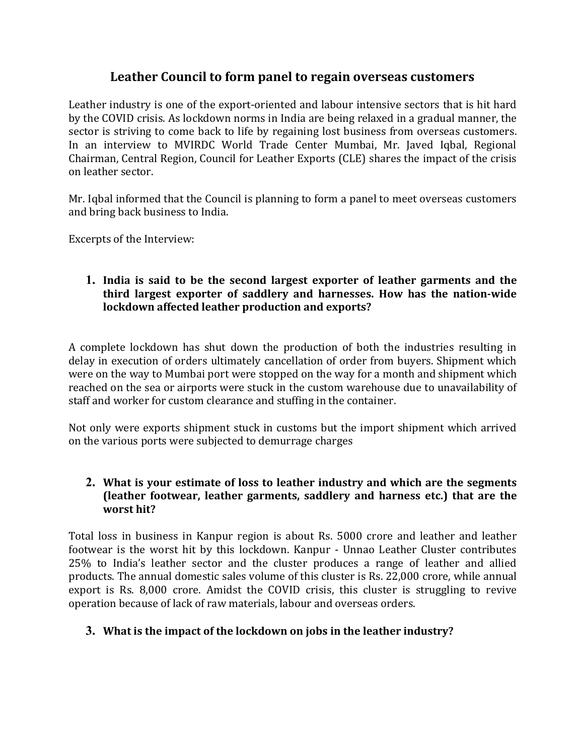# **Leather Council to form panel to regain overseas customers**

Leather industry is one of the export-oriented and labour intensive sectors that is hit hard by the COVID crisis. As lockdown norms in India are being relaxed in a gradual manner, the sector is striving to come back to life by regaining lost business from overseas customers. In an interview to MVIRDC World Trade Center Mumbai, Mr. Javed Iqbal, Regional Chairman, Central Region, Council for Leather Exports (CLE) shares the impact of the crisis on leather sector.

Mr. Iqbal informed that the Council is planning to form a panel to meet overseas customers and bring back business to India.

Excerpts of the Interview:

### **1. India is said to be the second largest exporter of leather garments and the third largest exporter of saddlery and harnesses. How has the nation-wide lockdown affected leather production and exports?**

A complete lockdown has shut down the production of both the industries resulting in delay in execution of orders ultimately cancellation of order from buyers. Shipment which were on the way to Mumbai port were stopped on the way for a month and shipment which reached on the sea or airports were stuck in the custom warehouse due to unavailability of staff and worker for custom clearance and stuffing in the container.

Not only were exports shipment stuck in customs but the import shipment which arrived on the various ports were subjected to demurrage charges

## **2. What is your estimate of loss to leather industry and which are the segments (leather footwear, leather garments, saddlery and harness etc.) that are the worst hit?**

Total loss in business in Kanpur region is about Rs. 5000 crore and leather and leather footwear is the worst hit by this lockdown. Kanpur - Unnao Leather Cluster contributes 25% to India's leather sector and the cluster produces a range of leather and allied products. The annual domestic sales volume of this cluster is Rs. 22,000 crore, while annual export is Rs. 8,000 crore. Amidst the COVID crisis, this cluster is struggling to revive operation because of lack of raw materials, labour and overseas orders.

# **3. What is the impact of the lockdown on jobs in the leather industry?**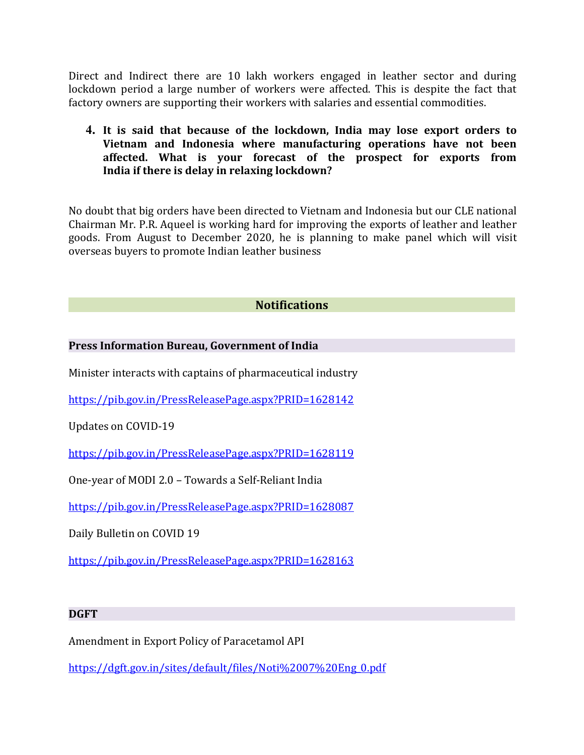Direct and Indirect there are 10 lakh workers engaged in leather sector and during lockdown period a large number of workers were affected. This is despite the fact that factory owners are supporting their workers with salaries and essential commodities.

**4. It is said that because of the lockdown, India may lose export orders to Vietnam and Indonesia where manufacturing operations have not been affected. What is your forecast of the prospect for exports from India if there is delay in relaxing lockdown?**

No doubt that big orders have been directed to Vietnam and Indonesia but our CLE national Chairman Mr. P.R. Aqueel is working hard for improving the exports of leather and leather goods. From August to December 2020, he is planning to make panel which will visit overseas buyers to promote Indian leather business

### **Notifications**

#### **Press Information Bureau, Government of India**

Minister interacts with captains of pharmaceutical industry

<https://pib.gov.in/PressReleasePage.aspx?PRID=1628142>

Updates on COVID-19

<https://pib.gov.in/PressReleasePage.aspx?PRID=1628119>

One-year of MODI 2.0 – Towards a Self-Reliant India

<https://pib.gov.in/PressReleasePage.aspx?PRID=1628087>

Daily Bulletin on COVID 19

<https://pib.gov.in/PressReleasePage.aspx?PRID=1628163>

#### **DGFT**

Amendment in Export Policy of Paracetamol API

[https://dgft.gov.in/sites/default/files/Noti%2007%20Eng\\_0.pdf](https://dgft.gov.in/sites/default/files/Noti%2007%20Eng_0.pdf)